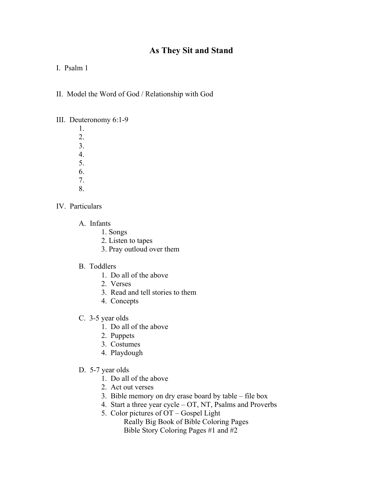## **As They Sit and Stand**

I. Psalm 1

II. Model the Word of God / Relationship with God

## III. Deuteronomy 6:1-9

 1. 2. 3. 4. 5.

- 6.
- 7.
- 8.
- IV. Particulars
	- A. Infants
		- 1. Songs
			- 2. Listen to tapes
			- 3. Pray outloud over them
	- B. Toddlers
		- 1. Do all of the above
		- 2. Verses
		- 3. Read and tell stories to them
		- 4. Concepts
	- C. 3-5 year olds
		- 1. Do all of the above
		- 2. Puppets
		- 3. Costumes
		- 4. Playdough
	- D. 5-7 year olds
		- 1. Do all of the above
		- 2. Act out verses
		- 3. Bible memory on dry erase board by table file box
		- 4. Start a three year cycle OT, NT, Psalms and Proverbs
		- 5. Color pictures of OT Gospel Light
			- Really Big Book of Bible Coloring Pages Bible Story Coloring Pages #1 and #2